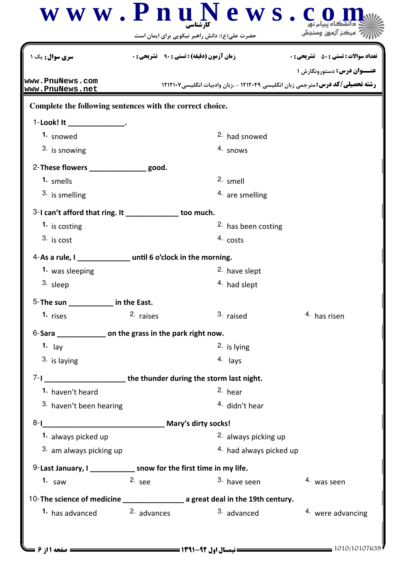|                                                           |                                                                        | حضرت علی(ع): دانش راهبر نیکویی برای ایمان است                                     |                                                                                        |
|-----------------------------------------------------------|------------------------------------------------------------------------|-----------------------------------------------------------------------------------|----------------------------------------------------------------------------------------|
| <b>سری سوال :</b> یک                                      | <b>زمان آزمون (دقیقه) : تستی : ۹۰٪ تشریحی : 0</b>                      |                                                                                   | <b>تعداد سوالات : تستي : 50 ٪ تشريحي : 0</b>                                           |
|                                                           |                                                                        |                                                                                   | <b>عنــوان درس:</b> دستورونگارش ۱                                                      |
| www.PnuNews.com<br>www.PnuNews.net                        |                                                                        |                                                                                   | <b>رشته تحصیلی/کد درس:</b> مترجمی زبان انگلیسی ۱۲۱۲۰۴۹ - ،زبان وادبیات انگلیسی ۱۲۱۲۱۰۷ |
| Complete the following sentences with the correct choice. |                                                                        |                                                                                   |                                                                                        |
| $1$ -Look! It and the set of $\sim$                       |                                                                        |                                                                                   |                                                                                        |
| 1. snowed                                                 |                                                                        | 2. had snowed                                                                     |                                                                                        |
| $3.$ is snowing                                           |                                                                        | 4. snows                                                                          |                                                                                        |
| 2-These flowers __________________ good.                  |                                                                        |                                                                                   |                                                                                        |
| 1. smells                                                 |                                                                        | 2. smell                                                                          |                                                                                        |
| 3. is smelling                                            |                                                                        | $4.$ are smelling                                                                 |                                                                                        |
|                                                           | 3-I can't afford that ring. It ______________ too much.                |                                                                                   |                                                                                        |
| 1. is costing                                             |                                                                        | <sup>2.</sup> has been costing                                                    |                                                                                        |
| $3.$ is cost                                              |                                                                        | 4. costs                                                                          |                                                                                        |
|                                                           | 4-As a rule, I can controlled to vertex and the morning.               |                                                                                   |                                                                                        |
| 1. was sleeping                                           |                                                                        | <sup>2.</sup> have slept                                                          |                                                                                        |
| 3. sleep                                                  |                                                                        | 4. had slept                                                                      |                                                                                        |
| 5-The sun                                                 | in the East.                                                           |                                                                                   |                                                                                        |
| 1. rises                                                  | 2. raises                                                              | 3. raised                                                                         | 4. has risen                                                                           |
|                                                           | 6-Sara _______________ on the grass in the park right now.             |                                                                                   |                                                                                        |
| 1. $\vert$ ay                                             |                                                                        | 2. is lying                                                                       |                                                                                        |
| 3. is laying                                              |                                                                        | 4. lays                                                                           |                                                                                        |
|                                                           | 7-1___________________________the thunder during the storm last night. |                                                                                   |                                                                                        |
| 1. haven't heard                                          |                                                                        | 2. hear                                                                           |                                                                                        |
| 3. haven't been hearing                                   |                                                                        | 4. didn't hear                                                                    |                                                                                        |
| $8 - 1$                                                   | Mary's dirty socks!                                                    |                                                                                   |                                                                                        |
| 1. always picked up                                       |                                                                        | 2. always picking up                                                              |                                                                                        |
| 3. am always picking up                                   |                                                                        | 4. had always picked up                                                           |                                                                                        |
|                                                           | $9$ -Last January, I ____________ snow for the first time in my life.  |                                                                                   |                                                                                        |
| 1. <sub>saw</sub>                                         | $2.$ see                                                               | 3. have seen                                                                      | 4. was seen                                                                            |
|                                                           |                                                                        | 10-The science of medicine ____________________ a great deal in the 19th century. |                                                                                        |
|                                                           |                                                                        |                                                                                   |                                                                                        |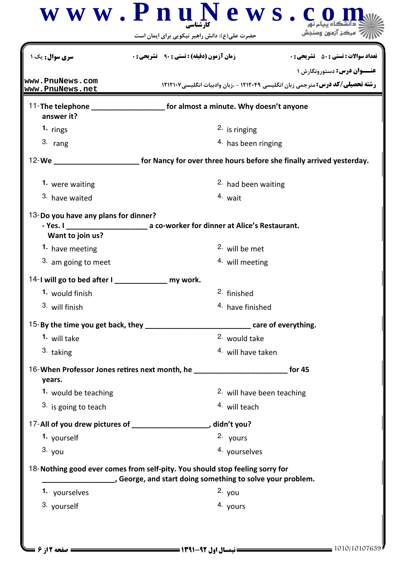|                                                    | www.PnuNews.<br>حضرت علی(ع): دانش راهبر نیکویی برای ایمان است                                                                            |                                         |                                                                                                                      |
|----------------------------------------------------|------------------------------------------------------------------------------------------------------------------------------------------|-----------------------------------------|----------------------------------------------------------------------------------------------------------------------|
| <b>سری سوال :</b> یک ۱                             | <b>زمان آزمون (دقیقه) : تستی : ۹۰٪ تشریحی: 0</b>                                                                                         |                                         | <b>تعداد سوالات : تستی : 50 ٪ تشریحی : 0</b>                                                                         |
| www.PnuNews.com<br>www.PnuNews.net                 |                                                                                                                                          |                                         | <b>عنــوان درس:</b> دستورونگارش ۱<br>رشته تحصیلی/کد درس: مترجمی زبان انگلیسی ۱۲۱۲۰۴۹ - ،زبان وادبیات انگلیسی/۱۲۱۲۱۰۷ |
| 11-The telephone<br>answer it?                     |                                                                                                                                          | for almost a minute. Why doesn't anyone |                                                                                                                      |
| 1. $rings$                                         |                                                                                                                                          | $2.$ is ringing                         |                                                                                                                      |
| 3. rang                                            |                                                                                                                                          | 4. has been ringing                     |                                                                                                                      |
| 12-We                                              |                                                                                                                                          |                                         | for Nancy for over three hours before she finally arrived yesterday.                                                 |
| 1. were waiting                                    |                                                                                                                                          | <sup>2.</sup> had been waiting          |                                                                                                                      |
| 3. have waited                                     |                                                                                                                                          | 4. wait                                 |                                                                                                                      |
| 13-Do you have any plans for dinner?<br>- Yes. I   | a co-worker for dinner at Alice's Restaurant.                                                                                            |                                         |                                                                                                                      |
| Want to join us?                                   |                                                                                                                                          |                                         |                                                                                                                      |
| 1. have meeting                                    |                                                                                                                                          | <sup>2.</sup> will be met               |                                                                                                                      |
| 3. am going to meet                                |                                                                                                                                          | 4. will meeting                         |                                                                                                                      |
| 14-I will go to bed after I _____________ my work. |                                                                                                                                          |                                         |                                                                                                                      |
| 1. would finish                                    |                                                                                                                                          | <sup>2.</sup> finished                  |                                                                                                                      |
| 3. will finish                                     |                                                                                                                                          | 4. have finished                        |                                                                                                                      |
|                                                    | <sup>15</sup> -By the time you get back, they __________________________________ care of everything.                                     |                                         |                                                                                                                      |
| 1. will take                                       |                                                                                                                                          | 2. would take                           |                                                                                                                      |
| 3. taking                                          |                                                                                                                                          | 4. will have taken                      |                                                                                                                      |
| years.                                             | 16-When Professor Jones retires next month, he _________________________________                                                         |                                         | for 45                                                                                                               |
| 1. would be teaching                               |                                                                                                                                          | 2. will have been teaching              |                                                                                                                      |
| $3.$ is going to teach                             |                                                                                                                                          | <sup>4.</sup> will teach                |                                                                                                                      |
|                                                    | 17-All of you drew pictures of _______________________, didn't you?                                                                      |                                         |                                                                                                                      |
| 1. yourself                                        |                                                                                                                                          | 2. yours                                |                                                                                                                      |
| $3.$ you                                           |                                                                                                                                          | 4. yourselves                           |                                                                                                                      |
|                                                    | 18-Nothing good ever comes from self-pity. You should stop feeling sorry for<br>George, and start doing something to solve your problem. |                                         |                                                                                                                      |
| 1. yourselves                                      |                                                                                                                                          | $2.$ you                                |                                                                                                                      |
| 3. yourself                                        |                                                                                                                                          | 4. yours                                |                                                                                                                      |
|                                                    |                                                                                                                                          |                                         |                                                                                                                      |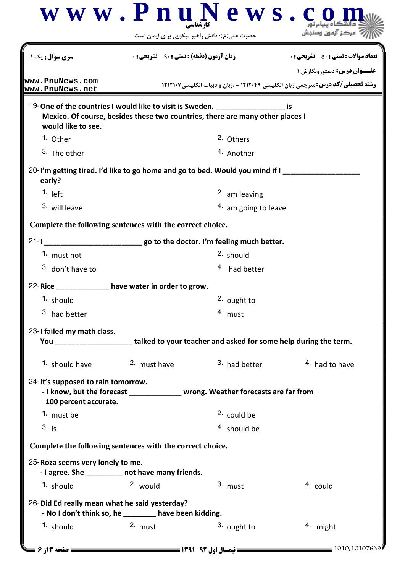|                                                                                                           | $\bf w \mathbf w \mathbf w \mathbf P \mathbf n \mathbf u \mathbf N \mathbf e \mathbf w \mathbf s$ . |                          |                                                                                            |
|-----------------------------------------------------------------------------------------------------------|-----------------------------------------------------------------------------------------------------|--------------------------|--------------------------------------------------------------------------------------------|
|                                                                                                           | حضرت علی(ع): دانش راهبر نیکویی برای ایمان است                                                       |                          | مركن آزمون وسنحش                                                                           |
| سری سوال : یک ۱                                                                                           | <b>زمان آزمون (دقیقه) : تستی : ۹۰٪ تشریحی : 0</b>                                                   |                          | <b>تعداد سوالات : تستي : 50 ٪ تشريحي : 0</b>                                               |
|                                                                                                           |                                                                                                     |                          | <b>عنــوان درس:</b> دستورونگارش ۱                                                          |
| www.PnuNews.com<br>www.PnuNews.net                                                                        |                                                                                                     |                          | <b>رشته تحصیلی/کد درس:</b> مترجمی زبان انگلیسی ۱۲۱۲۰۴۹ - ،زبان وادبیات انگلیسی ۱۲۱۲۱۰۷     |
| 19-One of the countries I would like to visit is Sweden. _______________________ is<br>would like to see. | Mexico. Of course, besides these two countries, there are many other places I                       |                          |                                                                                            |
| 1. Other                                                                                                  |                                                                                                     | 2. Others                |                                                                                            |
| 3. The other                                                                                              |                                                                                                     | <sup>4.</sup> Another    |                                                                                            |
| 20-I'm getting tired. I'd like to go home and go to bed. Would you mind if I<br>early?                    |                                                                                                     |                          |                                                                                            |
| $1.$ left                                                                                                 |                                                                                                     | <sup>2.</sup> am leaving |                                                                                            |
| 3. will leave                                                                                             |                                                                                                     | 4. am going to leave     |                                                                                            |
| Complete the following sentences with the correct choice.                                                 |                                                                                                     |                          |                                                                                            |
| $21 - 1$                                                                                                  | go to the doctor. I'm feeling much better.                                                          |                          |                                                                                            |
| 1. must not                                                                                               |                                                                                                     | 2. should                |                                                                                            |
| 3. don't have to                                                                                          |                                                                                                     | 4. had better            |                                                                                            |
| 22-Rice have water in order to grow.                                                                      |                                                                                                     |                          |                                                                                            |
| 1. should                                                                                                 |                                                                                                     | 2. ought to              |                                                                                            |
| 3. had better                                                                                             |                                                                                                     | 4. must                  |                                                                                            |
| 23-I failed my math class.                                                                                |                                                                                                     |                          | You _______________________talked to your teacher and asked for some help during the term. |
| 1. should have                                                                                            | 2. must have                                                                                        | 3. had better            | 4. had to have                                                                             |
| 24-It's supposed to rain tomorrow.<br>100 percent accurate.                                               | - I know, but the forecast _______________ wrong. Weather forecasts are far from                    |                          |                                                                                            |
| 1. must be                                                                                                |                                                                                                     | $2.$ could be            |                                                                                            |
| $3.$ is                                                                                                   |                                                                                                     | 4. should be             |                                                                                            |
| Complete the following sentences with the correct choice.                                                 |                                                                                                     |                          |                                                                                            |
| 25-Roza seems very lonely to me.<br>- I agree. She _________ not have many friends.                       |                                                                                                     |                          |                                                                                            |
| 1. should                                                                                                 | 2. would                                                                                            | 3. must                  | 4. could                                                                                   |
| 26-Did Ed really mean what he said yesterday?                                                             | - No I don't think so, he _______ have been kidding.                                                |                          |                                                                                            |
| 1. should                                                                                                 | 2. must                                                                                             | 3. ought to              | 4. might                                                                                   |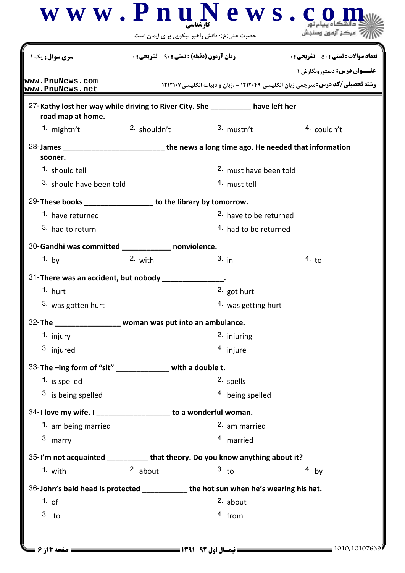| www.PnuNews.                                                                                                                                                                                                                   | حضرت علی(ع): دانش راهبر نیکویی برای ایمان است      |                                   |                                                                                        |  |
|--------------------------------------------------------------------------------------------------------------------------------------------------------------------------------------------------------------------------------|----------------------------------------------------|-----------------------------------|----------------------------------------------------------------------------------------|--|
| <b>سری سوال :</b> یک ۱                                                                                                                                                                                                         | <b>زمان آزمون (دقیقه) : تستی : 90 ٪ تشریحی : 0</b> |                                   | <b>تعداد سوالات : تستي : 50 ٪ تشريحي : 0</b><br><b>عنــوان درس:</b> دستورونگارش ۱      |  |
| www.PnuNews.com<br>www.PnuNews.net                                                                                                                                                                                             |                                                    |                                   | <b>رشته تحصیلی/کد درس:</b> مترجمی زبان انگلیسی ۱۲۱۲۰۴۹ - ،زبان وادبیات انگلیسی ۱۲۱۲۱۰۷ |  |
| 27-Kathy lost her way while driving to River City. She _________ have left her<br>road map at home.                                                                                                                            |                                                    |                                   |                                                                                        |  |
| 1. $mightn't$                                                                                                                                                                                                                  | <sup>2.</sup> shouldn't                            | 3. mustn't                        | 4. couldn't                                                                            |  |
| 28-James and the state of the state of the state of the state of the state of the state of the state of the state of the state of the state of the state of the state of the state of the state of the state of the state of t |                                                    |                                   | the news a long time ago. He needed that information                                   |  |
| sooner.                                                                                                                                                                                                                        |                                                    |                                   |                                                                                        |  |
| 1. should tell                                                                                                                                                                                                                 |                                                    | <sup>2.</sup> must have been told |                                                                                        |  |
| 3. should have been told                                                                                                                                                                                                       |                                                    | 4. must tell                      |                                                                                        |  |
| 29-These books _________________ to the library by tomorrow.                                                                                                                                                                   |                                                    |                                   |                                                                                        |  |
| 1. have returned                                                                                                                                                                                                               |                                                    | <sup>2.</sup> have to be returned |                                                                                        |  |
| 3. had to return                                                                                                                                                                                                               |                                                    | 4. had to be returned             |                                                                                        |  |
| 30-Gandhi was committed                                                                                                                                                                                                        | <b>Example 10</b> nonviolence.                     |                                   |                                                                                        |  |
| 1. by                                                                                                                                                                                                                          | 2. with                                            | $3. \text{ in}$                   | 4. t <sub>0</sub>                                                                      |  |
| 31-There was an accident, but nobody ___                                                                                                                                                                                       |                                                    |                                   |                                                                                        |  |
| $1.$ hurt                                                                                                                                                                                                                      |                                                    | 2. got hurt                       |                                                                                        |  |
| 3. was gotten hurt                                                                                                                                                                                                             |                                                    | <sup>4.</sup> was getting hurt    |                                                                                        |  |
|                                                                                                                                                                                                                                |                                                    |                                   |                                                                                        |  |
| 1. injury                                                                                                                                                                                                                      |                                                    | 2. injuring                       |                                                                                        |  |
| 3. injured                                                                                                                                                                                                                     |                                                    | 4. injure                         |                                                                                        |  |
| 33-The -ing form of "sit" ____________ with a double t.                                                                                                                                                                        |                                                    |                                   |                                                                                        |  |
| 1. is spelled                                                                                                                                                                                                                  |                                                    | 2. spells                         |                                                                                        |  |
| 3. is being spelled                                                                                                                                                                                                            |                                                    | 4. being spelled                  |                                                                                        |  |
| 34-I love my wife. I _____________________ to a wonderful woman.                                                                                                                                                               |                                                    |                                   |                                                                                        |  |
| 1. am being married                                                                                                                                                                                                            |                                                    | 2. am married                     |                                                                                        |  |
| $3.$ marry                                                                                                                                                                                                                     |                                                    | 4. married                        |                                                                                        |  |
| 35-I'm not acquainted ___________ that theory. Do you know anything about it?                                                                                                                                                  |                                                    |                                   |                                                                                        |  |
| $1.$ with                                                                                                                                                                                                                      | $2.$ about                                         | 3. t <sub>0</sub>                 | 4. by                                                                                  |  |
| 36-John's bald head is protected ____________ the hot sun when he's wearing his hat.                                                                                                                                           |                                                    |                                   |                                                                                        |  |
| 1. of                                                                                                                                                                                                                          |                                                    | $2.$ about                        |                                                                                        |  |
| $3.$ to                                                                                                                                                                                                                        |                                                    | 4. from                           |                                                                                        |  |
|                                                                                                                                                                                                                                |                                                    |                                   |                                                                                        |  |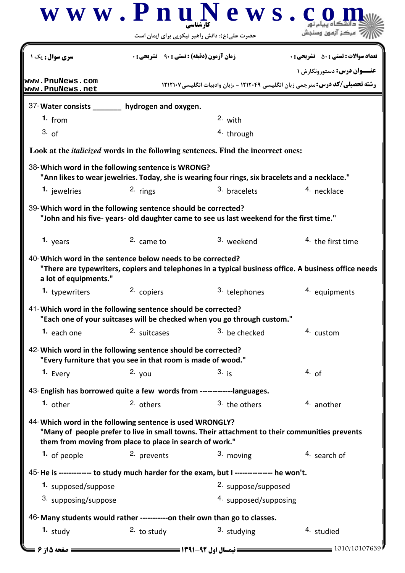|                                                                                                                      |                                                              | $\bf w \ w \ w \ . \ P \ n \ u \ N \ e \ w \ s \ . \ c$                                        |                                                                                                                              |
|----------------------------------------------------------------------------------------------------------------------|--------------------------------------------------------------|------------------------------------------------------------------------------------------------|------------------------------------------------------------------------------------------------------------------------------|
| <b>سری سوال :</b> یک ۱                                                                                               | <b>زمان آزمون (دقیقه) : تستی : 90 ٪ تشریحی : 0</b>           | حضرت علی(ع): دانش راهبر نیکویی برای ایمان است                                                  | <b>تعداد سوالات : تستي : 50 ٪ تشريحي : 0</b>                                                                                 |
| www.PnuNews.com<br>www.PnuNews.net                                                                                   |                                                              |                                                                                                | <b>عنـــوان درس:</b> دستورونگارش ۱<br><b>رشته تحصیلی/کد درس:</b> مترجمی زبان انگلیسی ۱۲۱۲۰۴۹ - ،زبان وادبیات انگلیسی ۱۲۱۲۱۰۷ |
| 37-Water consists                                                                                                    | hydrogen and oxygen.                                         |                                                                                                |                                                                                                                              |
| 1. from                                                                                                              |                                                              | 2. with                                                                                        |                                                                                                                              |
| 3. of                                                                                                                |                                                              | <sup>4.</sup> through                                                                          |                                                                                                                              |
|                                                                                                                      |                                                              | Look at the <i>italicized</i> words in the following sentences. Find the incorrect ones:       |                                                                                                                              |
| 38-Which word in the following sentence is WRONG?                                                                    |                                                              | "Ann likes to wear jewelries. Today, she is wearing four rings, six bracelets and a necklace." |                                                                                                                              |
| 1. jewelries                                                                                                         | $2.$ rings                                                   | 3. bracelets                                                                                   | 4. necklace                                                                                                                  |
| 39-Which word in the following sentence should be corrected?                                                         |                                                              | "John and his five- years- old daughter came to see us last weekend for the first time."       |                                                                                                                              |
| 1. $years$                                                                                                           | $2.$ came to                                                 | 3. weekend                                                                                     | 4. the first time                                                                                                            |
| 40-Which word in the sentence below needs to be corrected?<br>a lot of equipments."                                  |                                                              |                                                                                                | "There are typewriters, copiers and telephones in a typical business office. A business office needs                         |
| 1. typewriters                                                                                                       | 2. copiers                                                   | 3. telephones                                                                                  | 4. equipments                                                                                                                |
| 41-Which word in the following sentence should be corrected?                                                         |                                                              | "Each one of your suitcases will be checked when you go through custom."                       |                                                                                                                              |
| <sup>1.</sup> each one                                                                                               | 2. suitcases                                                 | 3. be checked                                                                                  | 4. custom                                                                                                                    |
| 42-Which word in the following sentence should be corrected?                                                         | "Every furniture that you see in that room is made of wood." |                                                                                                |                                                                                                                              |
| 1. Every                                                                                                             | $2.$ you                                                     | $3.$ is                                                                                        | 4. of                                                                                                                        |
| 43-English has borrowed quite a few words from -------------languages.                                               |                                                              |                                                                                                |                                                                                                                              |
| 1. other                                                                                                             | 2. others                                                    | 3. the others                                                                                  | 4. another                                                                                                                   |
| 44-Which word in the following sentence is used WRONGLY?<br>them from moving from place to place in search of work." |                                                              | "Many of people prefer to live in small towns. Their attachment to their communities prevents  |                                                                                                                              |
| 1. of people                                                                                                         | 2. prevents                                                  | 3. moving                                                                                      | 4. search of                                                                                                                 |
| 45-He is ------------- to study much harder for the exam, but I --------------- he won't.                            |                                                              |                                                                                                |                                                                                                                              |
| 1. supposed/suppose                                                                                                  |                                                              | 2. suppose/supposed                                                                            |                                                                                                                              |
| 3. supposing/suppose                                                                                                 |                                                              | 4. supposed/supposing                                                                          |                                                                                                                              |
| 46-Many students would rather -----------on their own than go to classes.                                            |                                                              |                                                                                                |                                                                                                                              |
| 1. study                                                                                                             | $2.$ to study                                                | 3. studying                                                                                    | 4. studied                                                                                                                   |
|                                                                                                                      |                                                              |                                                                                                |                                                                                                                              |